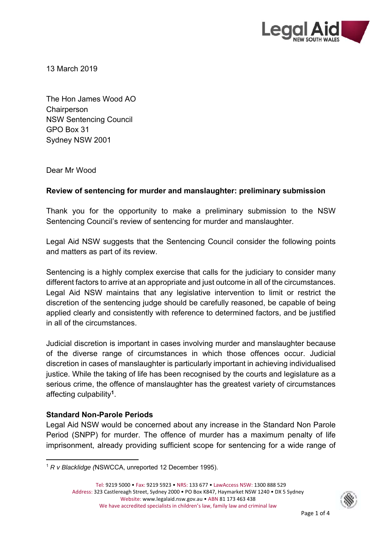

13 March 2019

The Hon James Wood AO **Chairperson** NSW Sentencing Council GPO Box 31 Sydney NSW 2001

Dear Mr Wood

## **Review of sentencing for murder and manslaughter: preliminary submission**

Thank you for the opportunity to make a preliminary submission to the NSW Sentencing Council's review of sentencing for murder and manslaughter.

Legal Aid NSW suggests that the Sentencing Council consider the following points and matters as part of its review.

Sentencing is a highly complex exercise that calls for the judiciary to consider many different factors to arrive at an appropriate and just outcome in all of the circumstances. Legal Aid NSW maintains that any legislative intervention to limit or restrict the discretion of the sentencing judge should be carefully reasoned, be capable of being applied clearly and consistently with reference to determined factors, and be justified in all of the circumstances.

Judicial discretion is important in cases involving murder and manslaughter because of the diverse range of circumstances in which those offences occur. Judicial discretion in cases of manslaughter is particularly important in achieving individualised justice. While the taking of life has been recognised by the courts and legislature as a serious crime, the offence of manslaughter has the greatest variety of circumstances affecting culpability**<sup>1</sup>**.

## **Standard Non-Parole Periods**

Legal Aid NSW would be concerned about any increase in the Standard Non Parole Period (SNPP) for murder. The offence of murder has a maximum penalty of life imprisonment, already providing sufficient scope for sentencing for a wide range of



 <sup>1</sup> *R v Blacklidge (*NSWCCA, unreported 12 December 1995).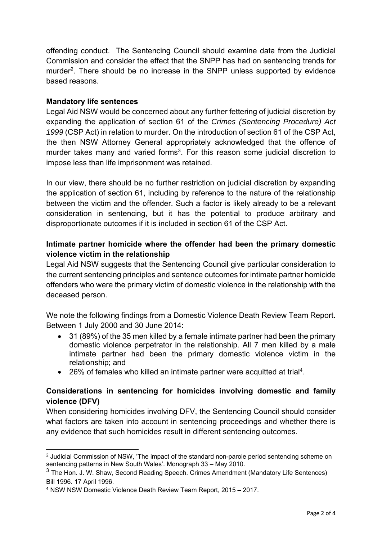offending conduct. The Sentencing Council should examine data from the Judicial Commission and consider the effect that the SNPP has had on sentencing trends for murder<sup>2</sup>. There should be no increase in the SNPP unless supported by evidence based reasons.

### **Mandatory life sentences**

Legal Aid NSW would be concerned about any further fettering of judicial discretion by expanding the application of section 61 of the *Crimes (Sentencing Procedure) Act 1999* (CSP Act) in relation to murder. On the introduction of section 61 of the CSP Act, the then NSW Attorney General appropriately acknowledged that the offence of murder takes many and varied forms<sup>3</sup>. For this reason some judicial discretion to impose less than life imprisonment was retained.

In our view, there should be no further restriction on judicial discretion by expanding the application of section 61, including by reference to the nature of the relationship between the victim and the offender. Such a factor is likely already to be a relevant consideration in sentencing, but it has the potential to produce arbitrary and disproportionate outcomes if it is included in section 61 of the CSP Act.

# **Intimate partner homicide where the offender had been the primary domestic violence victim in the relationship**

Legal Aid NSW suggests that the Sentencing Council give particular consideration to the current sentencing principles and sentence outcomes for intimate partner homicide offenders who were the primary victim of domestic violence in the relationship with the deceased person.

We note the following findings from a Domestic Violence Death Review Team Report. Between 1 July 2000 and 30 June 2014:

- 31 (89%) of the 35 men killed by a female intimate partner had been the primary domestic violence perpetrator in the relationship. All 7 men killed by a male intimate partner had been the primary domestic violence victim in the relationship; and
- 26% of females who killed an intimate partner were acquitted at trial<sup>4</sup>.

## **Considerations in sentencing for homicides involving domestic and family violence (DFV)**

When considering homicides involving DFV, the Sentencing Council should consider what factors are taken into account in sentencing proceedings and whether there is any evidence that such homicides result in different sentencing outcomes.

  $^2$  Judicial Commission of NSW, 'The impact of the standard non-parole period sentencing scheme on sentencing patterns in New South Wales'. Monograph 33 – May 2010.

<sup>&</sup>lt;sup>3</sup> The Hon. J. W. Shaw, Second Reading Speech. Crimes Amendment (Mandatory Life Sentences) Bill 1996. 17 April 1996.

<sup>4</sup> NSW NSW Domestic Violence Death Review Team Report, 2015 – 2017.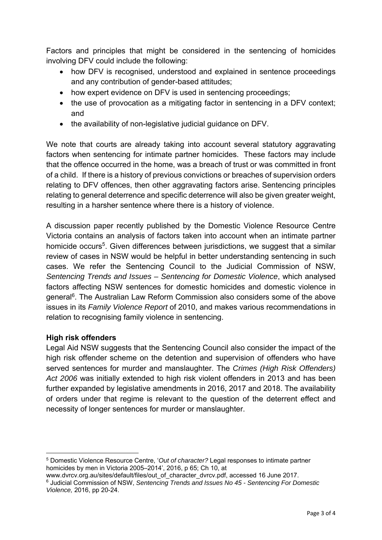Factors and principles that might be considered in the sentencing of homicides involving DFV could include the following:

- how DFV is recognised, understood and explained in sentence proceedings and any contribution of gender-based attitudes;
- how expert evidence on DFV is used in sentencing proceedings;
- the use of provocation as a mitigating factor in sentencing in a DFV context; and
- the availability of non-legislative judicial guidance on DFV.

We note that courts are already taking into account several statutory aggravating factors when sentencing for intimate partner homicides. These factors may include that the offence occurred in the home, was a breach of trust or was committed in front of a child. If there is a history of previous convictions or breaches of supervision orders relating to DFV offences, then other aggravating factors arise. Sentencing principles relating to general deterrence and specific deterrence will also be given greater weight, resulting in a harsher sentence where there is a history of violence.

A discussion paper recently published by the Domestic Violence Resource Centre Victoria contains an analysis of factors taken into account when an intimate partner homicide occurs<sup>5</sup>. Given differences between jurisdictions, we suggest that a similar review of cases in NSW would be helpful in better understanding sentencing in such cases. We refer the Sentencing Council to the Judicial Commission of NSW, *Sentencing Trends and Issues – Sentencing for Domestic Violence*, which analysed factors affecting NSW sentences for domestic homicides and domestic violence in general<sup>6</sup>. The Australian Law Reform Commission also considers some of the above issues in its *Family Violence Report* of 2010, and makes various recommendations in relation to recognising family violence in sentencing.

## **High risk offenders**

Legal Aid NSW suggests that the Sentencing Council also consider the impact of the high risk offender scheme on the detention and supervision of offenders who have served sentences for murder and manslaughter. The *Crimes (High Risk Offenders) Act 2006* was initially extended to high risk violent offenders in 2013 and has been further expanded by legislative amendments in 2016, 2017 and 2018. The availability of orders under that regime is relevant to the question of the deterrent effect and necessity of longer sentences for murder or manslaughter.

 5 Domestic Violence Resource Centre, '*Out of character?* Legal responses to intimate partner homicides by men in Victoria 2005–2014', 2016, p 65; Ch 10, at

www.dvrcv.org.au/sites/default/files/out\_of\_character\_dvrcv.pdf, accessed 16 June 2017.

<sup>6</sup> Judicial Commission of NSW, *Sentencing Trends and Issues No 45 - Sentencing For Domestic Violence,* 2016, pp 20-24.